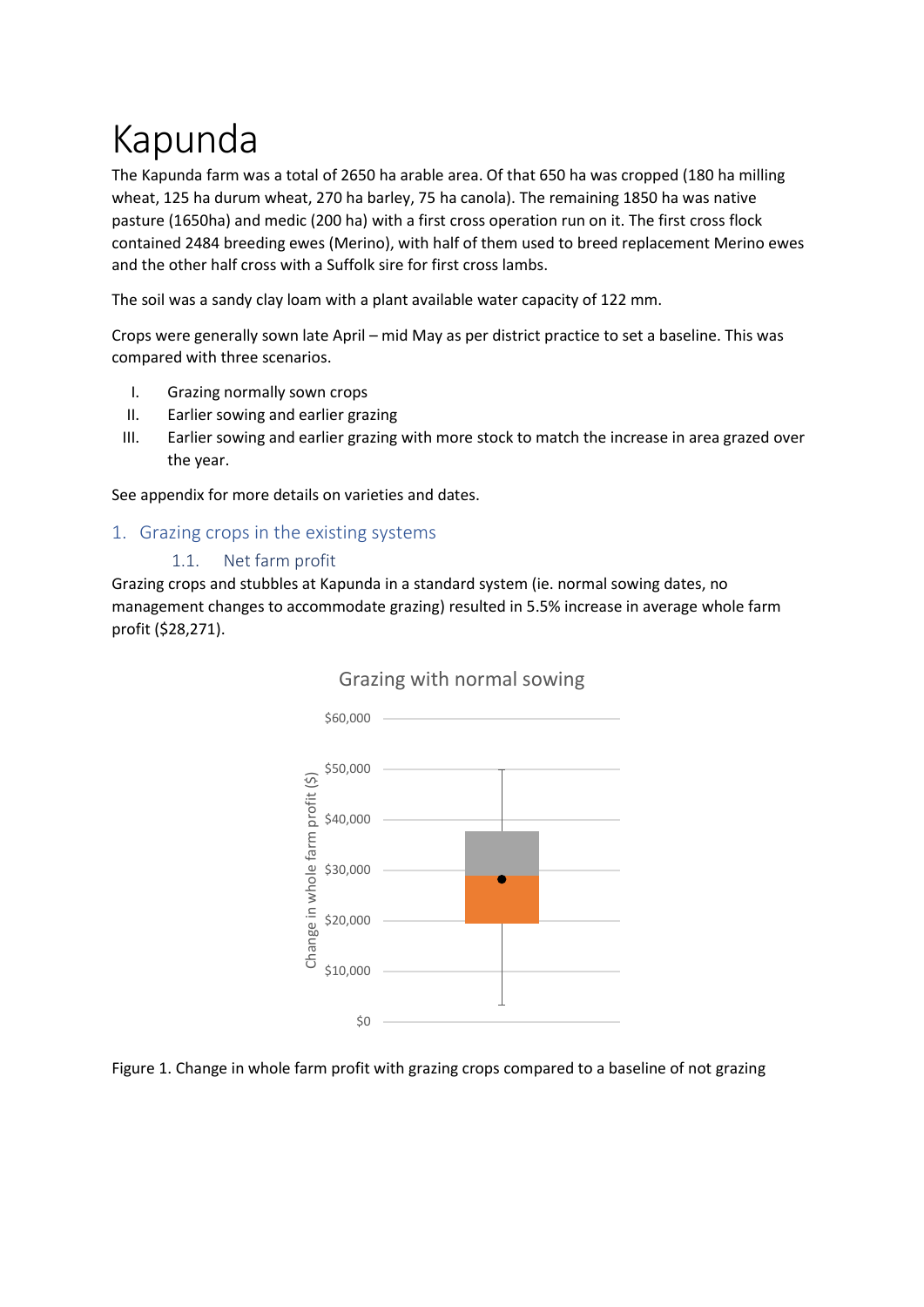# Kapunda

The Kapunda farm was a total of 2650 ha arable area. Of that 650 ha was cropped (180 ha milling wheat, 125 ha durum wheat, 270 ha barley, 75 ha canola). The remaining 1850 ha was native pasture (1650ha) and medic (200 ha) with a first cross operation run on it. The first cross flock contained 2484 breeding ewes (Merino), with half of them used to breed replacement Merino ewes and the other half cross with a Suffolk sire for first cross lambs.

The soil was a sandy clay loam with a plant available water capacity of 122 mm.

Crops were generally sown late April – mid May as per district practice to set a baseline. This was compared with three scenarios.

- I. Grazing normally sown crops
- II. Earlier sowing and earlier grazing
- III. Earlier sowing and earlier grazing with more stock to match the increase in area grazed over the year.

See appendix for more details on varieties and dates.

# 1. Grazing crops in the existing systems

#### 1.1. Net farm profit

Grazing crops and stubbles at Kapunda in a standard system (ie. normal sowing dates, no management changes to accommodate grazing) resulted in 5.5% increase in average whole farm profit (\$28,271).



# Grazing with normal sowing

Figure 1. Change in whole farm profit with grazing crops compared to a baseline of not grazing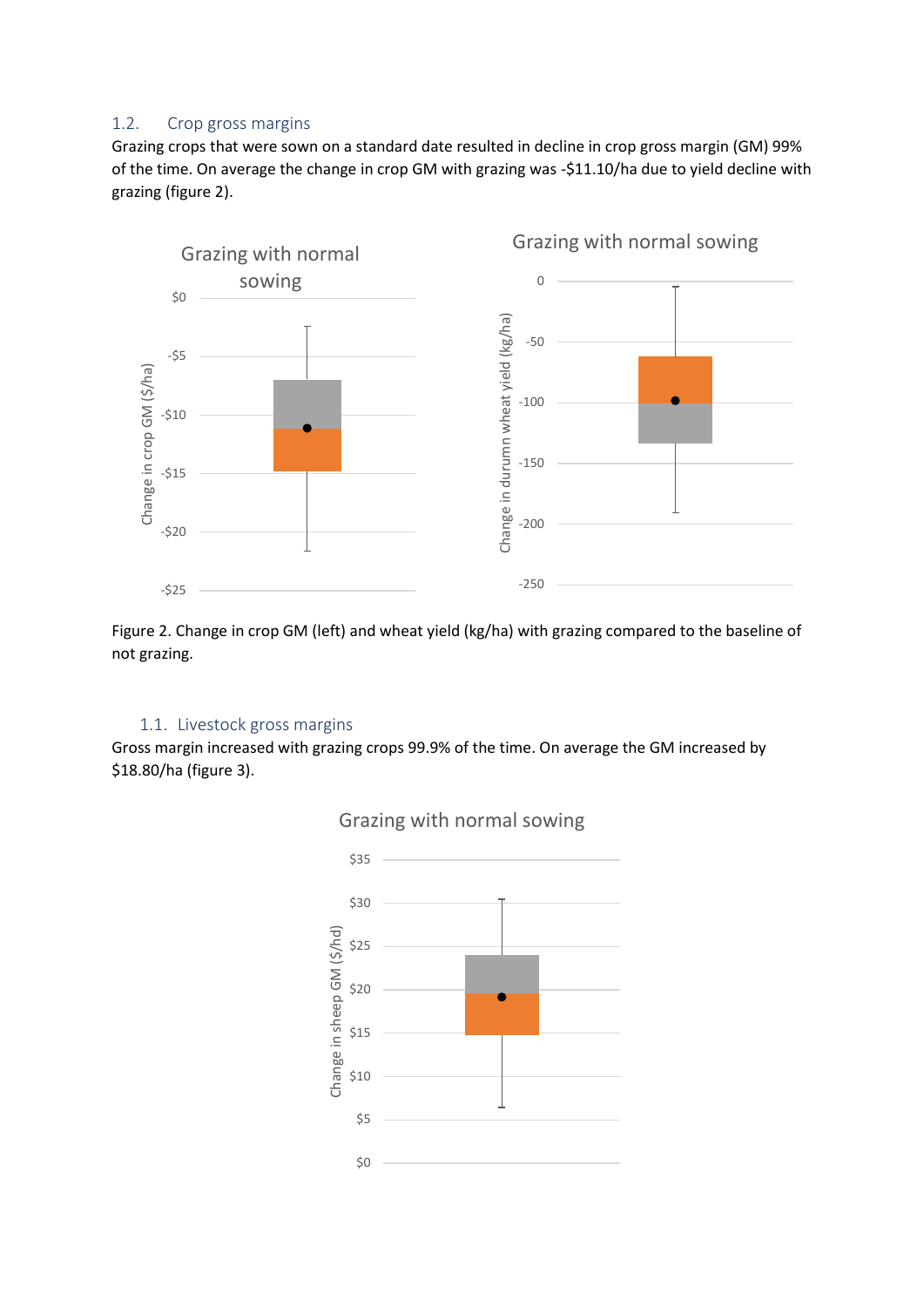# 1.2. Crop gross margins

Grazing crops that were sown on a standard date resulted in decline in crop gross margin (GM) 99% of the time. On average the change in crop GM with grazing was -\$11.10/ha due to yield decline with grazing (figure 2).



Figure 2. Change in crop GM (left) and wheat yield (kg/ha) with grazing compared to the baseline of not grazing.

# 1.1. Livestock gross margins

Gross margin increased with grazing crops 99.9% of the time. On average the GM increased by \$18.80/ha (figure 3).

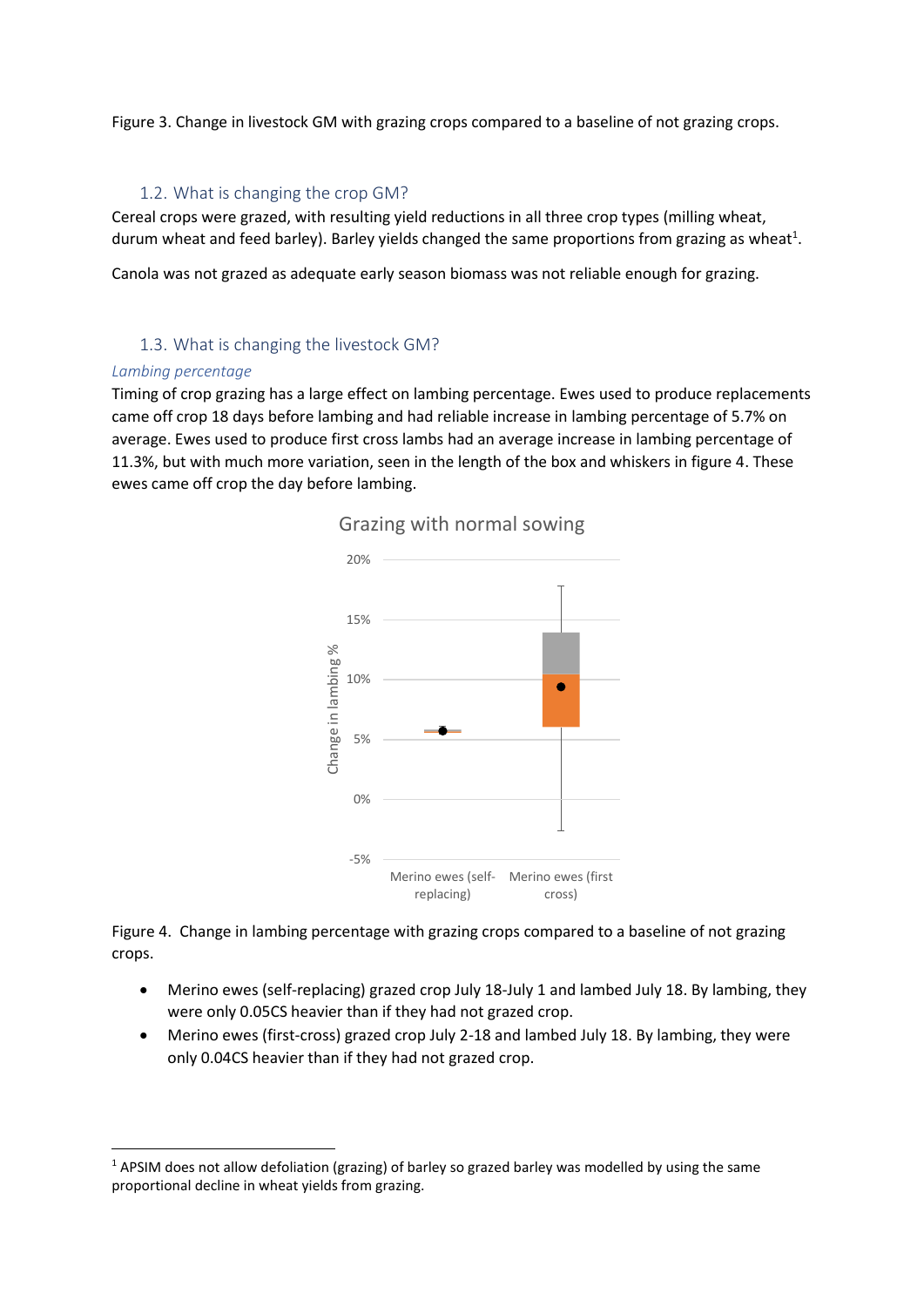Figure 3. Change in livestock GM with grazing crops compared to a baseline of not grazing crops.

# 1.2. What is changing the crop GM?

Cereal crops were grazed, with resulting yield reductions in all three crop types (milling wheat, durum wheat and feed barley). Barley yields changed the same proportions from grazing as wheat<sup>1</sup>.

Canola was not grazed as adequate early season biomass was not reliable enough for grazing.

# 1.3. What is changing the livestock GM?

#### *Lambing percentage*

**.** 

Timing of crop grazing has a large effect on lambing percentage. Ewes used to produce replacements came off crop 18 days before lambing and had reliable increase in lambing percentage of 5.7% on average. Ewes used to produce first cross lambs had an average increase in lambing percentage of 11.3%, but with much more variation, seen in the length of the box and whiskers in figure 4. These ewes came off crop the day before lambing.



Grazing with normal sowing

Figure 4. Change in lambing percentage with grazing crops compared to a baseline of not grazing crops.

- Merino ewes (self-replacing) grazed crop July 18-July 1 and lambed July 18. By lambing, they were only 0.05CS heavier than if they had not grazed crop.
- Merino ewes (first-cross) grazed crop July 2-18 and lambed July 18. By lambing, they were only 0.04CS heavier than if they had not grazed crop.

 $1$  APSIM does not allow defoliation (grazing) of barley so grazed barley was modelled by using the same proportional decline in wheat yields from grazing.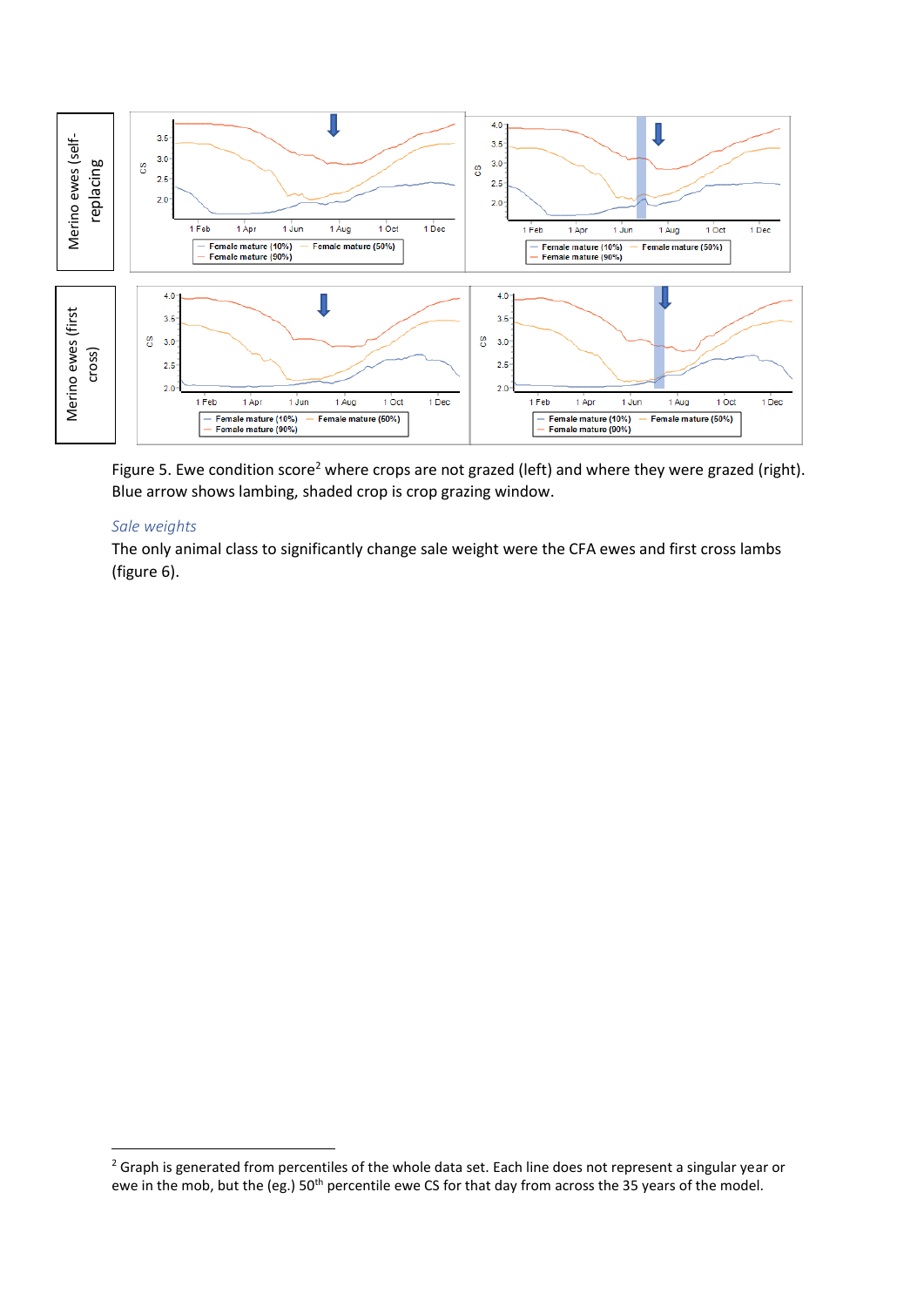

Figure 5. Ewe condition score<sup>2</sup> where crops are not grazed (left) and where they were grazed (right). Blue arrow shows lambing, shaded crop is crop grazing window.

#### *Sale weights*

**.** 

The only animal class to significantly change sale weight were the CFA ewes and first cross lambs (figure 6).

<sup>&</sup>lt;sup>2</sup> Graph is generated from percentiles of the whole data set. Each line does not represent a singular year or ewe in the mob, but the (eg.) 50<sup>th</sup> percentile ewe CS for that day from across the 35 years of the model.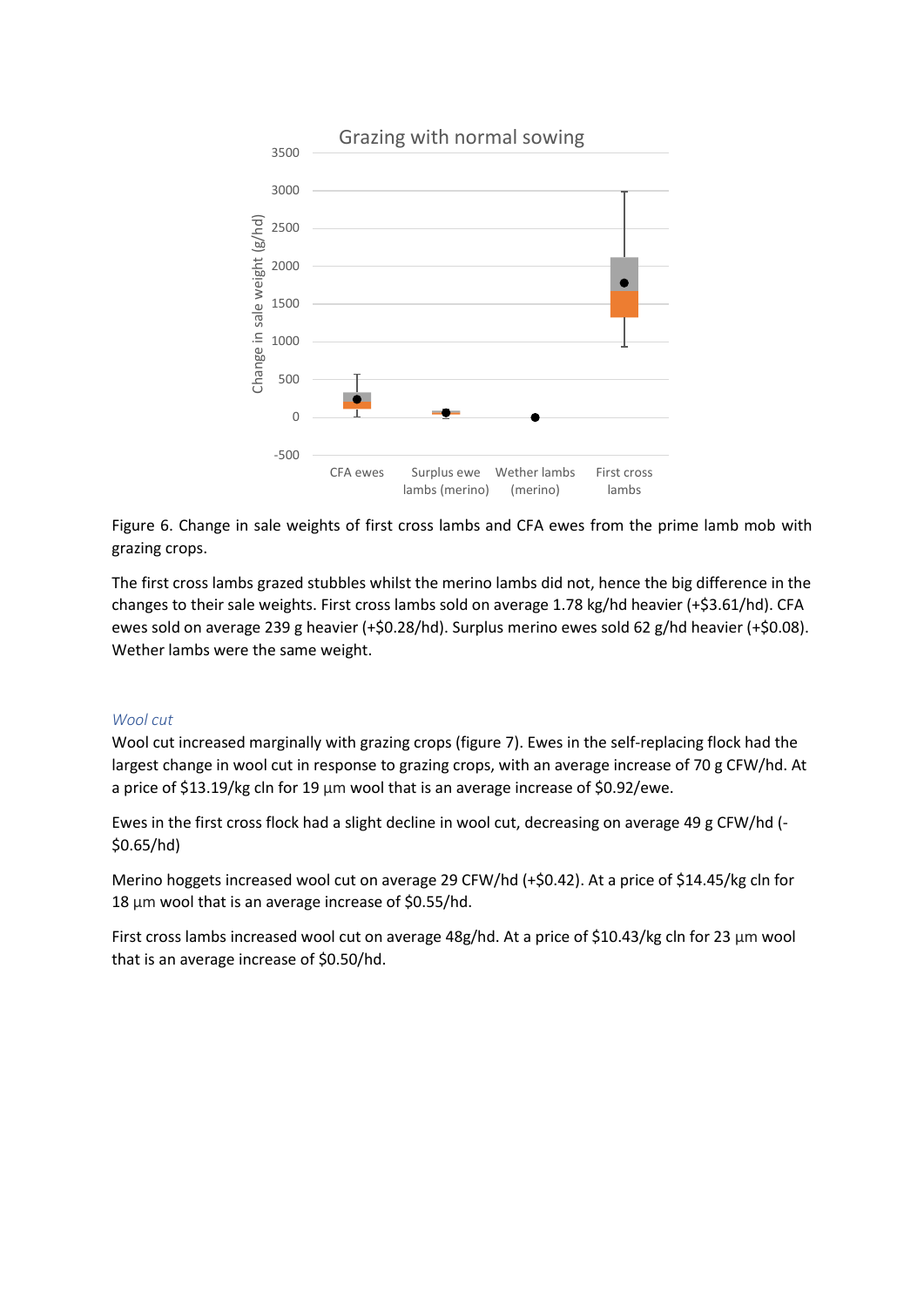

Figure 6. Change in sale weights of first cross lambs and CFA ewes from the prime lamb mob with grazing crops.

The first cross lambs grazed stubbles whilst the merino lambs did not, hence the big difference in the changes to their sale weights. First cross lambs sold on average 1.78 kg/hd heavier (+\$3.61/hd). CFA ewes sold on average 239 g heavier (+\$0.28/hd). Surplus merino ewes sold 62 g/hd heavier (+\$0.08). Wether lambs were the same weight.

#### *Wool cut*

Wool cut increased marginally with grazing crops (figure 7). Ewes in the self-replacing flock had the largest change in wool cut in response to grazing crops, with an average increase of 70 g CFW/hd. At a price of \$13.19/kg cln for 19 μm wool that is an average increase of \$0.92/ewe.

Ewes in the first cross flock had a slight decline in wool cut, decreasing on average 49 g CFW/hd (- \$0.65/hd)

Merino hoggets increased wool cut on average 29 CFW/hd (+\$0.42). At a price of \$14.45/kg cln for 18 μm wool that is an average increase of \$0.55/hd.

First cross lambs increased wool cut on average 48g/hd. At a price of \$10.43/kg cln for 23 μm wool that is an average increase of \$0.50/hd.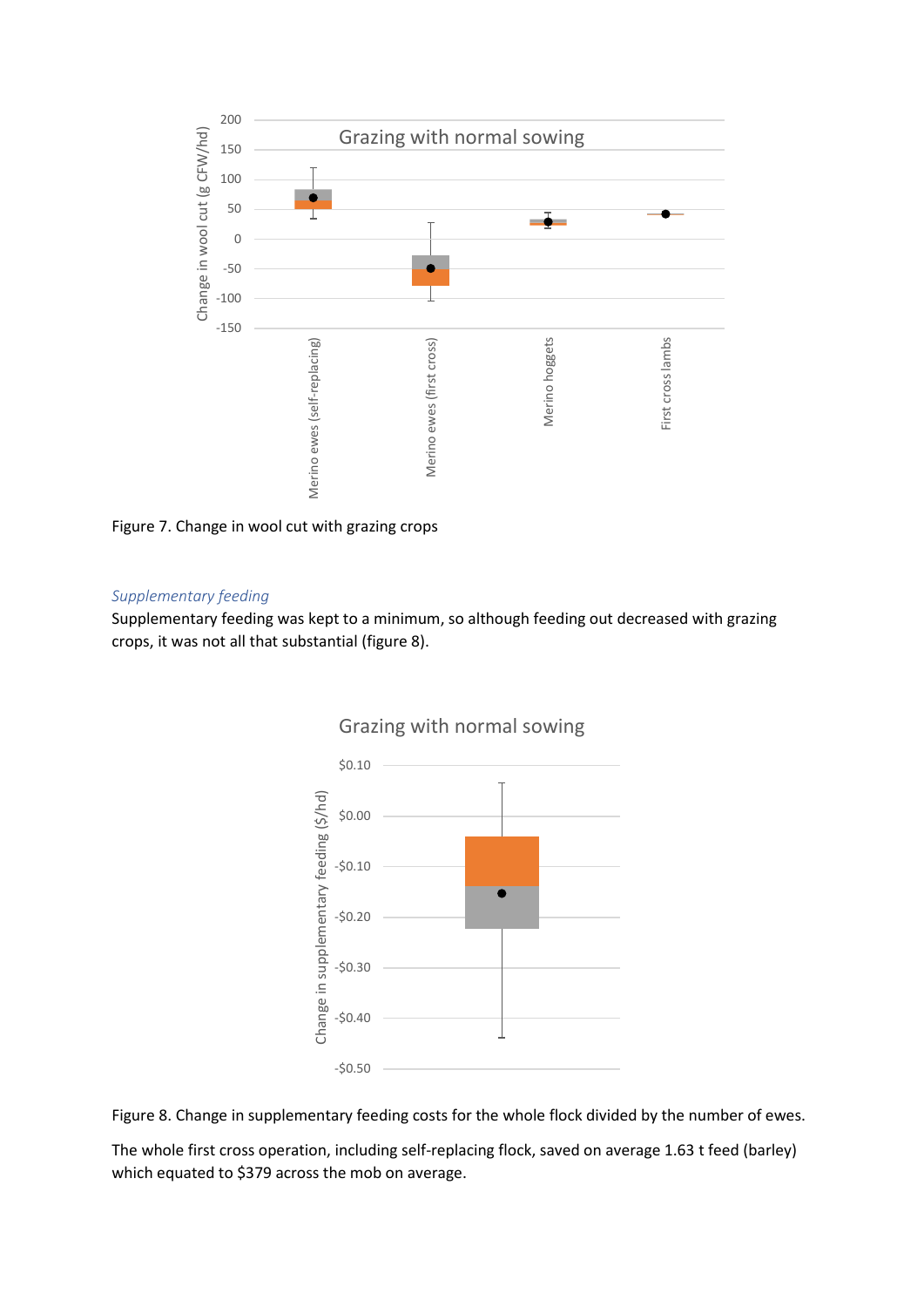

Figure 7. Change in wool cut with grazing crops

#### *Supplementary feeding*

Supplementary feeding was kept to a minimum, so although feeding out decreased with grazing crops, it was not all that substantial (figure 8).



# Grazing with normal sowing

Figure 8. Change in supplementary feeding costs for the whole flock divided by the number of ewes.

The whole first cross operation, including self-replacing flock, saved on average 1.63 t feed (barley) which equated to \$379 across the mob on average.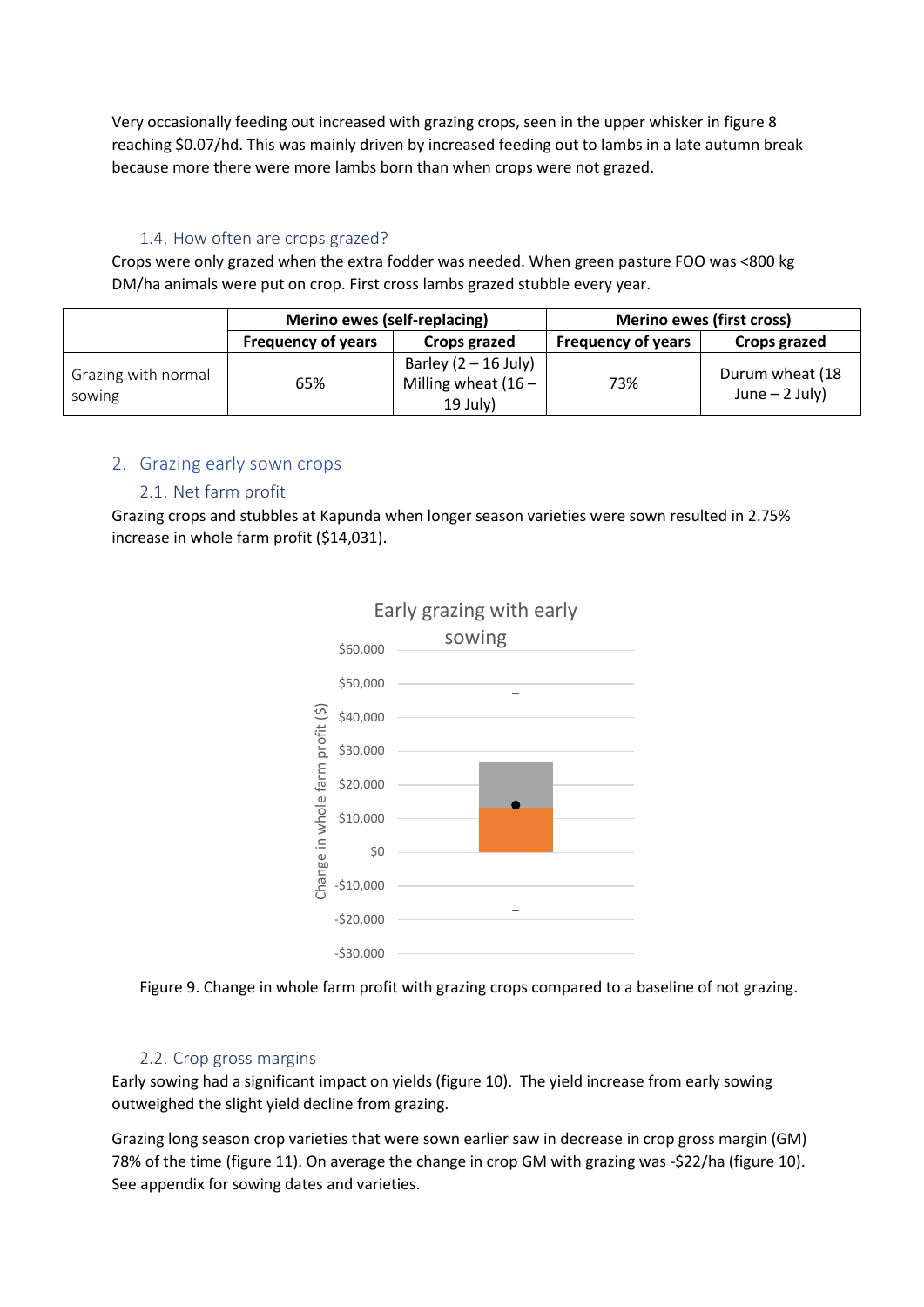Very occasionally feeding out increased with grazing crops, seen in the upper whisker in figure 8 reaching \$0.07/hd. This was mainly driven by increased feeding out to lambs in a late autumn break because more there were more lambs born than when crops were not grazed.

# 1.4. How often are crops grazed?

Crops were only grazed when the extra fodder was needed. When green pasture FOO was <800 kg DM/ha animals were put on crop. First cross lambs grazed stubble every year.

|                               | Merino ewes (self-replacing) |                                                               | <b>Merino ewes (first cross)</b> |                                    |
|-------------------------------|------------------------------|---------------------------------------------------------------|----------------------------------|------------------------------------|
|                               | <b>Frequency of years</b>    | Crops grazed                                                  | <b>Frequency of years</b>        | Crops grazed                       |
| Grazing with normal<br>sowing | 65%                          | Barley $(2 – 16$ July)<br>Milling wheat $(16 -$<br>$19$ July) | 73%                              | Durum wheat (18<br>June $-2$ July) |

# 2. Grazing early sown crops

# 2.1. Net farm profit

Grazing crops and stubbles at Kapunda when longer season varieties were sown resulted in 2.75% increase in whole farm profit (\$14,031).



Figure 9. Change in whole farm profit with grazing crops compared to a baseline of not grazing.

# 2.2. Crop gross margins

Early sowing had a significant impact on yields (figure 10). The yield increase from early sowing outweighed the slight yield decline from grazing.

Grazing long season crop varieties that were sown earlier saw in decrease in crop gross margin (GM) 78% of the time (figure 11). On average the change in crop GM with grazing was -\$22/ha (figure 10). See appendix for sowing dates and varieties.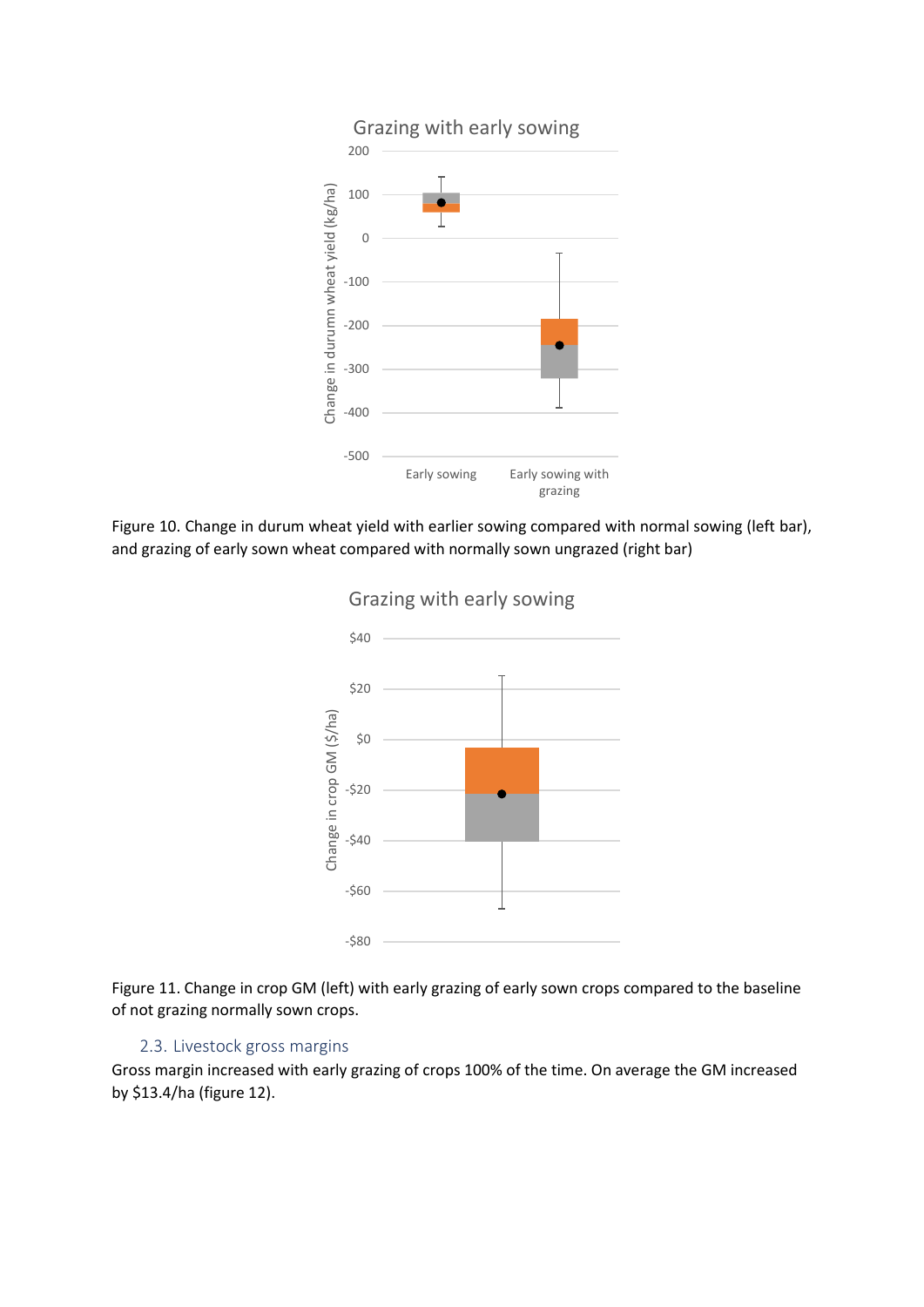

Figure 10. Change in durum wheat yield with earlier sowing compared with normal sowing (left bar), and grazing of early sown wheat compared with normally sown ungrazed (right bar)



Grazing with early sowing

Figure 11. Change in crop GM (left) with early grazing of early sown crops compared to the baseline of not grazing normally sown crops.

# 2.3. Livestock gross margins

Gross margin increased with early grazing of crops 100% of the time. On average the GM increased by \$13.4/ha (figure 12).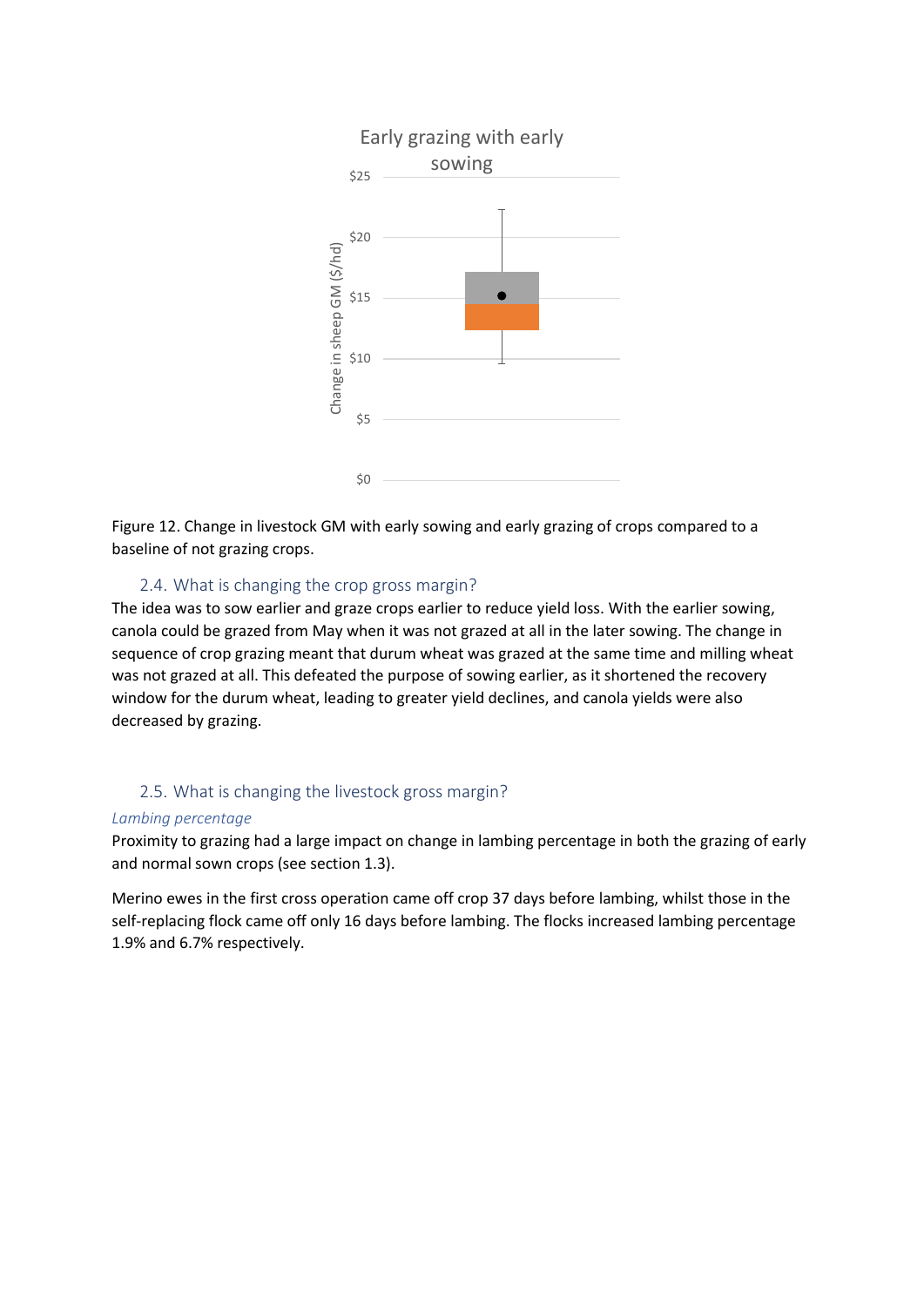

Figure 12. Change in livestock GM with early sowing and early grazing of crops compared to a baseline of not grazing crops.

#### 2.4. What is changing the crop gross margin?

The idea was to sow earlier and graze crops earlier to reduce yield loss. With the earlier sowing, canola could be grazed from May when it was not grazed at all in the later sowing. The change in sequence of crop grazing meant that durum wheat was grazed at the same time and milling wheat was not grazed at all. This defeated the purpose of sowing earlier, as it shortened the recovery window for the durum wheat, leading to greater yield declines, and canola yields were also decreased by grazing.

#### 2.5. What is changing the livestock gross margin?

#### *Lambing percentage*

Proximity to grazing had a large impact on change in lambing percentage in both the grazing of early and normal sown crops (see section 1.3).

Merino ewes in the first cross operation came off crop 37 days before lambing, whilst those in the self-replacing flock came off only 16 days before lambing. The flocks increased lambing percentage 1.9% and 6.7% respectively.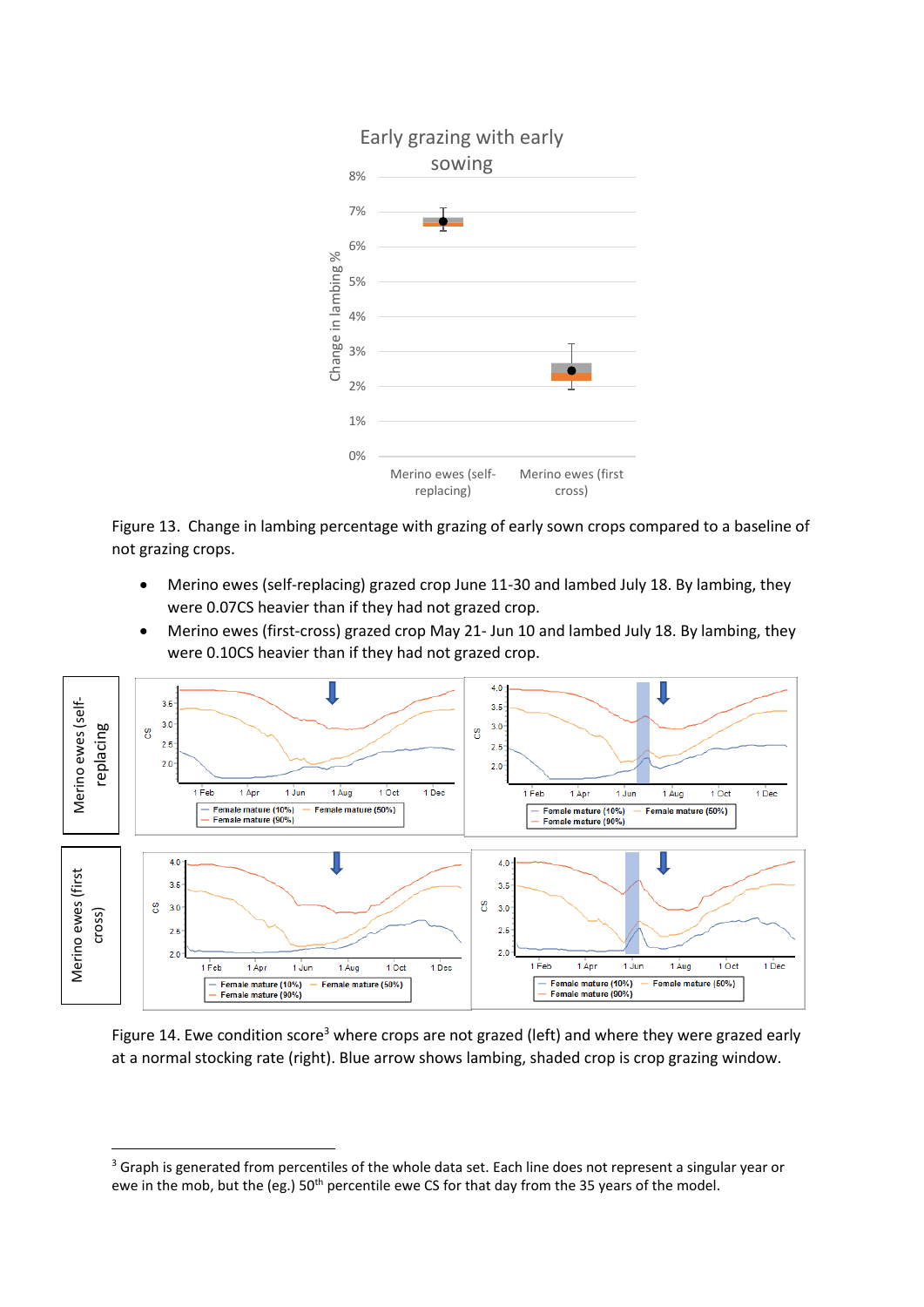

Figure 13. Change in lambing percentage with grazing of early sown crops compared to a baseline of not grazing crops.

- Merino ewes (self-replacing) grazed crop June 11-30 and lambed July 18. By lambing, they were 0.07CS heavier than if they had not grazed crop.
- Merino ewes (first-cross) grazed crop May 21- Jun 10 and lambed July 18. By lambing, they were 0.10CS heavier than if they had not grazed crop.



Figure 14. Ewe condition score<sup>3</sup> where crops are not grazed (left) and where they were grazed early at a normal stocking rate (right). Blue arrow shows lambing, shaded crop is crop grazing window.

**.** 

<sup>&</sup>lt;sup>3</sup> Graph is generated from percentiles of the whole data set. Each line does not represent a singular year or ewe in the mob, but the (eg.) 50<sup>th</sup> percentile ewe CS for that day from the 35 years of the model.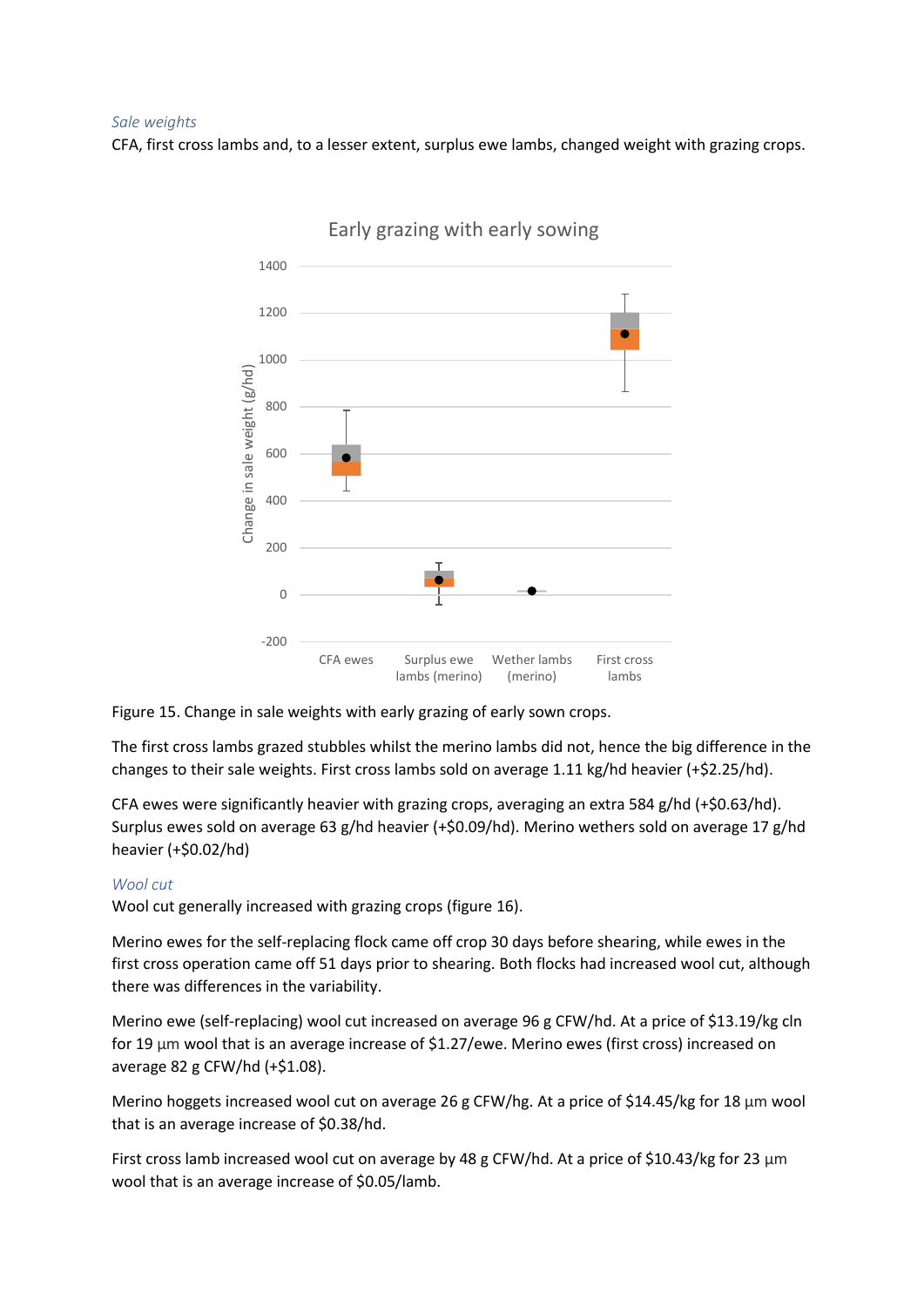#### *Sale weights*

CFA, first cross lambs and, to a lesser extent, surplus ewe lambs, changed weight with grazing crops.



Early grazing with early sowing

Figure 15. Change in sale weights with early grazing of early sown crops.

The first cross lambs grazed stubbles whilst the merino lambs did not, hence the big difference in the changes to their sale weights. First cross lambs sold on average 1.11 kg/hd heavier (+\$2.25/hd).

CFA ewes were significantly heavier with grazing crops, averaging an extra 584 g/hd (+\$0.63/hd). Surplus ewes sold on average 63 g/hd heavier (+\$0.09/hd). Merino wethers sold on average 17 g/hd heavier (+\$0.02/hd)

# *Wool cut*

Wool cut generally increased with grazing crops (figure 16).

Merino ewes for the self-replacing flock came off crop 30 days before shearing, while ewes in the first cross operation came off 51 days prior to shearing. Both flocks had increased wool cut, although there was differences in the variability.

Merino ewe (self-replacing) wool cut increased on average 96 g CFW/hd. At a price of \$13.19/kg cln for 19 μm wool that is an average increase of \$1.27/ewe. Merino ewes (first cross) increased on average 82 g CFW/hd (+\$1.08).

Merino hoggets increased wool cut on average 26 g CFW/hg. At a price of \$14.45/kg for 18  $\mu$ m wool that is an average increase of \$0.38/hd.

First cross lamb increased wool cut on average by 48 g CFW/hd. At a price of \$10.43/kg for 23 μm wool that is an average increase of \$0.05/lamb.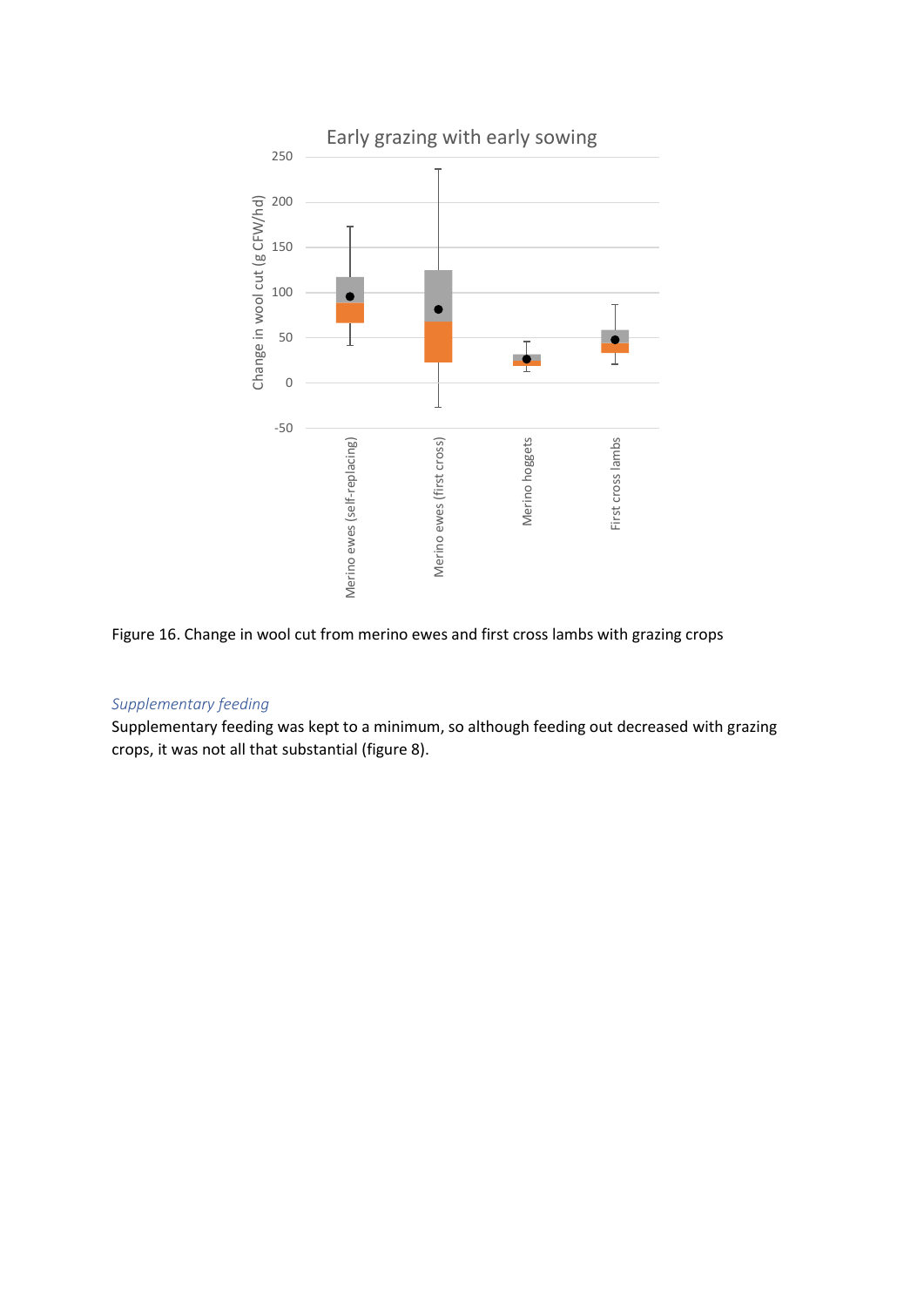

Figure 16. Change in wool cut from merino ewes and first cross lambs with grazing crops

# *Supplementary feeding*

Supplementary feeding was kept to a minimum, so although feeding out decreased with grazing crops, it was not all that substantial (figure 8).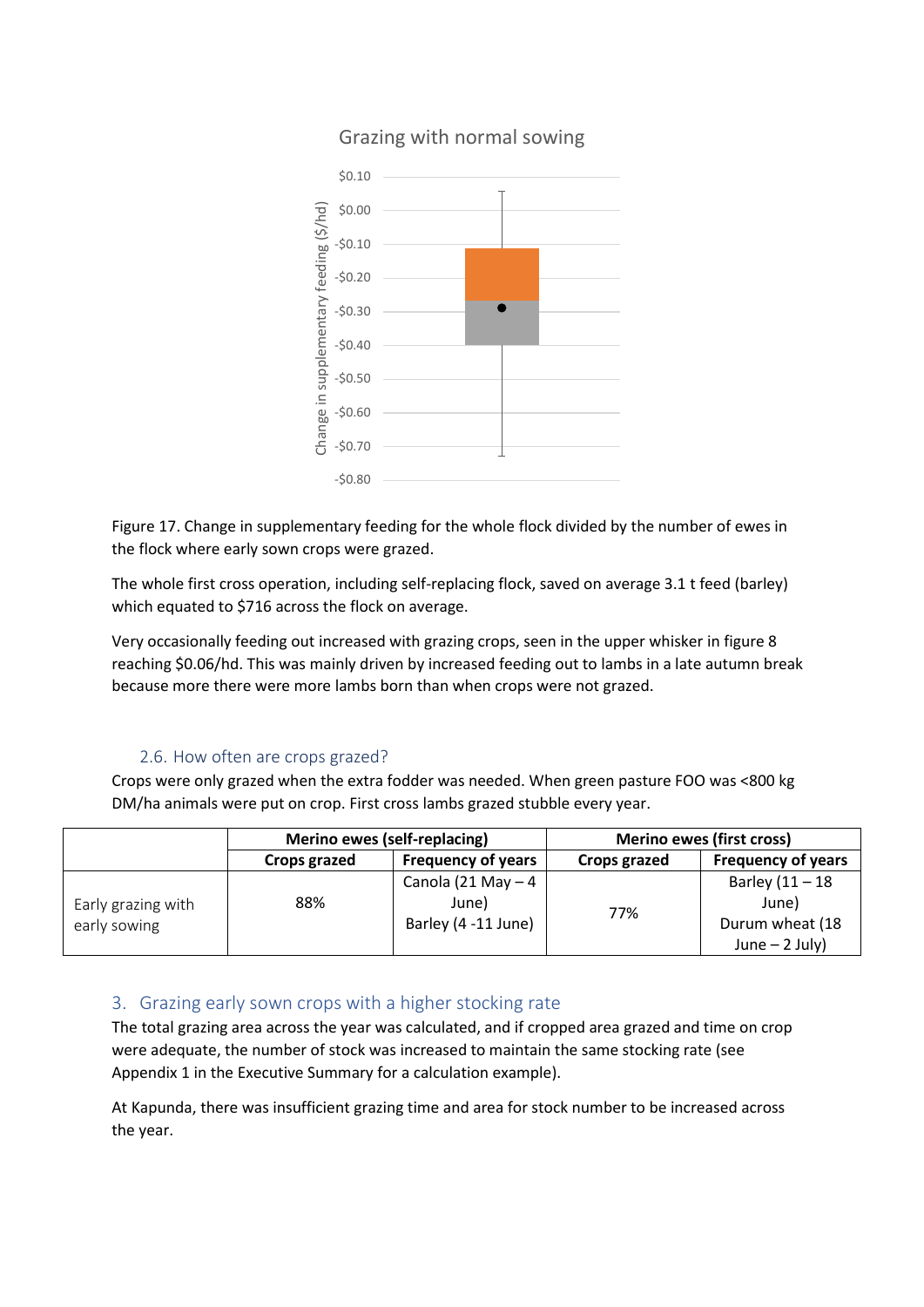

# Grazing with normal sowing

Figure 17. Change in supplementary feeding for the whole flock divided by the number of ewes in the flock where early sown crops were grazed.

The whole first cross operation, including self-replacing flock, saved on average 3.1 t feed (barley) which equated to \$716 across the flock on average.

Very occasionally feeding out increased with grazing crops, seen in the upper whisker in figure 8 reaching \$0.06/hd. This was mainly driven by increased feeding out to lambs in a late autumn break because more there were more lambs born than when crops were not grazed.

# 2.6. How often are crops grazed?

Crops were only grazed when the extra fodder was needed. When green pasture FOO was <800 kg DM/ha animals were put on crop. First cross lambs grazed stubble every year.

|                                    | Merino ewes (self-replacing) |                                                     | <b>Merino ewes (first cross)</b> |                                                                   |
|------------------------------------|------------------------------|-----------------------------------------------------|----------------------------------|-------------------------------------------------------------------|
|                                    | Crops grazed                 | <b>Frequency of years</b>                           | Crops grazed                     | <b>Frequency of years</b>                                         |
| Early grazing with<br>early sowing | 88%                          | Canola (21 May $-4$<br>June)<br>Barley (4 -11 June) | 77%                              | Barley $(11 - 18)$<br>June)<br>Durum wheat (18<br>June $-2$ July) |

# 3. Grazing early sown crops with a higher stocking rate

The total grazing area across the year was calculated, and if cropped area grazed and time on crop were adequate, the number of stock was increased to maintain the same stocking rate (see Appendix 1 in the Executive Summary for a calculation example).

At Kapunda, there was insufficient grazing time and area for stock number to be increased across the year.